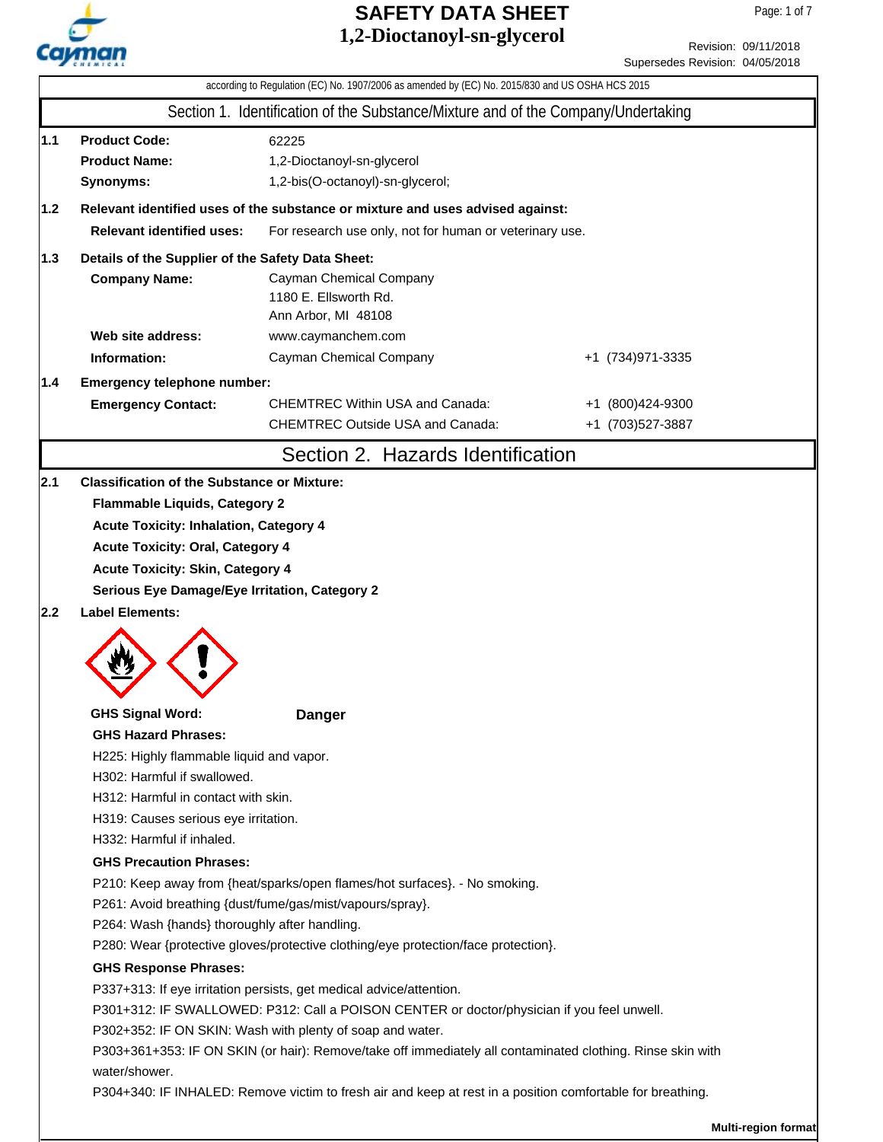

|     |                                                                                            | 1,4-DIOCtanoyi-Sii-giycel ol                                                                               |  | Revision: 09/11/2018            |  |  |  |  |
|-----|--------------------------------------------------------------------------------------------|------------------------------------------------------------------------------------------------------------|--|---------------------------------|--|--|--|--|
|     |                                                                                            |                                                                                                            |  | Supersedes Revision: 04/05/2018 |  |  |  |  |
|     |                                                                                            | according to Regulation (EC) No. 1907/2006 as amended by (EC) No. 2015/830 and US OSHA HCS 2015            |  |                                 |  |  |  |  |
|     |                                                                                            | Section 1. Identification of the Substance/Mixture and of the Company/Undertaking                          |  |                                 |  |  |  |  |
| 1.1 | <b>Product Code:</b>                                                                       | 62225                                                                                                      |  |                                 |  |  |  |  |
|     | <b>Product Name:</b>                                                                       | 1,2-Dioctanoyl-sn-glycerol                                                                                 |  |                                 |  |  |  |  |
|     | Synonyms:                                                                                  | 1,2-bis(O-octanoyl)-sn-glycerol;                                                                           |  |                                 |  |  |  |  |
| 1.2 |                                                                                            | Relevant identified uses of the substance or mixture and uses advised against:                             |  |                                 |  |  |  |  |
|     | <b>Relevant identified uses:</b>                                                           | For research use only, not for human or veterinary use.                                                    |  |                                 |  |  |  |  |
| 1.3 | Details of the Supplier of the Safety Data Sheet:                                          |                                                                                                            |  |                                 |  |  |  |  |
|     | <b>Company Name:</b>                                                                       | Cayman Chemical Company                                                                                    |  |                                 |  |  |  |  |
|     |                                                                                            | 1180 E. Ellsworth Rd.                                                                                      |  |                                 |  |  |  |  |
|     | Web site address:                                                                          | Ann Arbor, MI 48108                                                                                        |  |                                 |  |  |  |  |
|     |                                                                                            | www.caymanchem.com                                                                                         |  |                                 |  |  |  |  |
|     | Information:                                                                               | Cayman Chemical Company                                                                                    |  | +1 (734) 971-3335               |  |  |  |  |
| 1.4 | Emergency telephone number:                                                                |                                                                                                            |  |                                 |  |  |  |  |
|     | <b>Emergency Contact:</b>                                                                  | <b>CHEMTREC Within USA and Canada:</b>                                                                     |  | +1 (800)424-9300                |  |  |  |  |
|     |                                                                                            | <b>CHEMTREC Outside USA and Canada:</b>                                                                    |  | +1 (703)527-3887                |  |  |  |  |
|     |                                                                                            | Section 2. Hazards Identification                                                                          |  |                                 |  |  |  |  |
| 2.1 | <b>Classification of the Substance or Mixture:</b>                                         |                                                                                                            |  |                                 |  |  |  |  |
|     | <b>Flammable Liquids, Category 2</b>                                                       |                                                                                                            |  |                                 |  |  |  |  |
|     | <b>Acute Toxicity: Inhalation, Category 4</b>                                              |                                                                                                            |  |                                 |  |  |  |  |
|     | <b>Acute Toxicity: Oral, Category 4</b>                                                    |                                                                                                            |  |                                 |  |  |  |  |
|     | <b>Acute Toxicity: Skin, Category 4</b>                                                    |                                                                                                            |  |                                 |  |  |  |  |
|     | Serious Eye Damage/Eye Irritation, Category 2                                              |                                                                                                            |  |                                 |  |  |  |  |
| 2.2 | <b>Label Elements:</b>                                                                     |                                                                                                            |  |                                 |  |  |  |  |
|     |                                                                                            |                                                                                                            |  |                                 |  |  |  |  |
|     |                                                                                            |                                                                                                            |  |                                 |  |  |  |  |
|     |                                                                                            |                                                                                                            |  |                                 |  |  |  |  |
|     |                                                                                            |                                                                                                            |  |                                 |  |  |  |  |
|     | <b>GHS Signal Word:</b><br><b>GHS Hazard Phrases:</b>                                      | <b>Danger</b>                                                                                              |  |                                 |  |  |  |  |
|     |                                                                                            |                                                                                                            |  |                                 |  |  |  |  |
|     | H225: Highly flammable liquid and vapor.<br>H302: Harmful if swallowed.                    |                                                                                                            |  |                                 |  |  |  |  |
|     | H312: Harmful in contact with skin.                                                        |                                                                                                            |  |                                 |  |  |  |  |
|     | H319: Causes serious eye irritation.                                                       |                                                                                                            |  |                                 |  |  |  |  |
|     | H332: Harmful if inhaled.                                                                  |                                                                                                            |  |                                 |  |  |  |  |
|     | <b>GHS Precaution Phrases:</b>                                                             |                                                                                                            |  |                                 |  |  |  |  |
|     | P210: Keep away from {heat/sparks/open flames/hot surfaces}. - No smoking.                 |                                                                                                            |  |                                 |  |  |  |  |
|     | P261: Avoid breathing {dust/fume/gas/mist/vapours/spray}.                                  |                                                                                                            |  |                                 |  |  |  |  |
|     | P264: Wash {hands} thoroughly after handling.                                              |                                                                                                            |  |                                 |  |  |  |  |
|     | P280: Wear {protective gloves/protective clothing/eye protection/face protection}.         |                                                                                                            |  |                                 |  |  |  |  |
|     | <b>GHS Response Phrases:</b>                                                               |                                                                                                            |  |                                 |  |  |  |  |
|     | P337+313: If eye irritation persists, get medical advice/attention.                        |                                                                                                            |  |                                 |  |  |  |  |
|     | P301+312: IF SWALLOWED: P312: Call a POISON CENTER or doctor/physician if you feel unwell. |                                                                                                            |  |                                 |  |  |  |  |
|     | P302+352: IF ON SKIN: Wash with plenty of soap and water.                                  |                                                                                                            |  |                                 |  |  |  |  |
|     |                                                                                            | P303+361+353: IF ON SKIN (or hair): Remove/take off immediately all contaminated clothing. Rinse skin with |  |                                 |  |  |  |  |
|     | water/shower.                                                                              |                                                                                                            |  |                                 |  |  |  |  |
|     |                                                                                            | P304+340: IF INHALED: Remove victim to fresh air and keep at rest in a position comfortable for breathing. |  |                                 |  |  |  |  |
|     |                                                                                            |                                                                                                            |  |                                 |  |  |  |  |

**Multi-region format**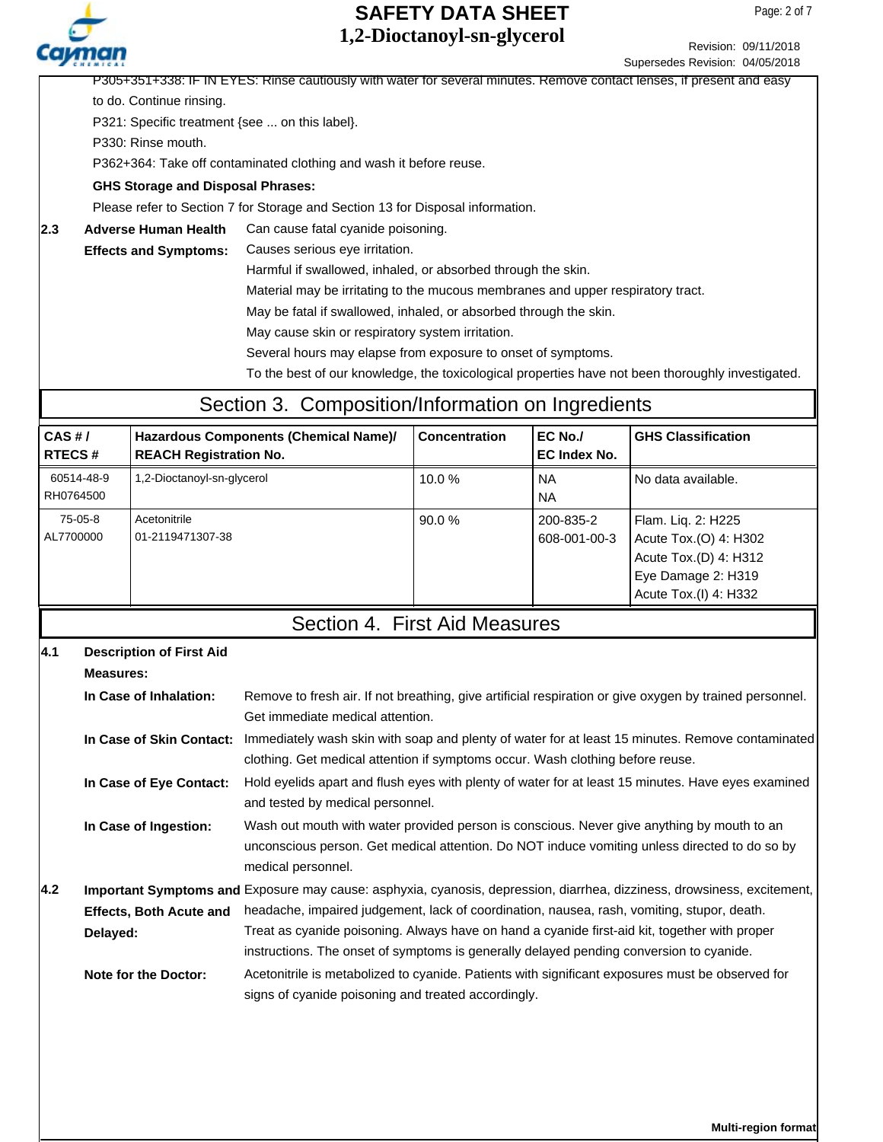Revision: 09/11/2018

Supersedes Revision: 04/05/2018 P305+351+338: IF IN EYES: Rinse cautiously with water for several minutes. Remove contact lenses, if present and easy to do. Continue rinsing. P321: Specific treatment {see ... on this label}. P330: Rinse mouth. P362+364: Take off contaminated clothing and wash it before reuse. Please refer to Section 7 for Storage and Section 13 for Disposal information. **GHS Storage and Disposal Phrases:** 2.3 Adverse Human Health Can cause fatal cyanide poisoning. Causes serious eye irritation. Harmful if swallowed, inhaled, or absorbed through the skin. **Adverse Human Health Effects and Symptoms:**

Material may be irritating to the mucous membranes and upper respiratory tract.

May be fatal if swallowed, inhaled, or absorbed through the skin.

May cause skin or respiratory system irritation.

Several hours may elapse from exposure to onset of symptoms.

To the best of our knowledge, the toxicological properties have not been thoroughly investigated.

### Section 3. Composition/Information on Ingredients

| CAS H/<br><b>RTECS#</b> | Hazardous Components (Chemical Name)/<br><b>REACH Registration No.</b> | <b>Concentration</b> | EC No./<br>EC Index No.   | <b>GHS Classification</b>                                                                                           |
|-------------------------|------------------------------------------------------------------------|----------------------|---------------------------|---------------------------------------------------------------------------------------------------------------------|
| 60514-48-9<br>RH0764500 | 1,2-Dioctanoyl-sn-glycerol                                             | 10.0%                | <b>NA</b><br><b>NA</b>    | No data available.                                                                                                  |
| 75-05-8<br>AL7700000    | Acetonitrile<br>01-2119471307-38                                       | 90.0%                | 200-835-2<br>608-001-00-3 | Flam. Lig. 2: H225<br>Acute Tox.(O) 4: H302<br>Acute Tox.(D) 4: H312<br>Eye Damage 2: H319<br>Acute Tox.(I) 4: H332 |

#### Section 4. First Aid Measures

| 4.1 | <b>Description of First Aid</b> |                                                                                                                                                                                                                   |
|-----|---------------------------------|-------------------------------------------------------------------------------------------------------------------------------------------------------------------------------------------------------------------|
|     | <b>Measures:</b>                |                                                                                                                                                                                                                   |
|     | In Case of Inhalation:          | Remove to fresh air. If not breathing, give artificial respiration or give oxygen by trained personnel.<br>Get immediate medical attention.                                                                       |
|     | In Case of Skin Contact:        | Immediately wash skin with soap and plenty of water for at least 15 minutes. Remove contaminated<br>clothing. Get medical attention if symptoms occur. Wash clothing before reuse.                                |
|     | In Case of Eye Contact:         | Hold eyelids apart and flush eyes with plenty of water for at least 15 minutes. Have eyes examined<br>and tested by medical personnel.                                                                            |
|     | In Case of Ingestion:           | Wash out mouth with water provided person is conscious. Never give anything by mouth to an<br>unconscious person. Get medical attention. Do NOT induce vomiting unless directed to do so by<br>medical personnel. |
| 4.2 |                                 | Important Symptoms and Exposure may cause: asphyxia, cyanosis, depression, diarrhea, dizziness, drowsiness, excitement,                                                                                           |
|     | <b>Effects, Both Acute and</b>  | headache, impaired judgement, lack of coordination, nausea, rash, vomiting, stupor, death.                                                                                                                        |
|     | Delayed:                        | Treat as cyanide poisoning. Always have on hand a cyanide first-aid kit, together with proper<br>instructions. The onset of symptoms is generally delayed pending conversion to cyanide.                          |
|     | <b>Note for the Doctor:</b>     | Acetonitrile is metabolized to cyanide. Patients with significant exposures must be observed for<br>signs of cyanide poisoning and treated accordingly.                                                           |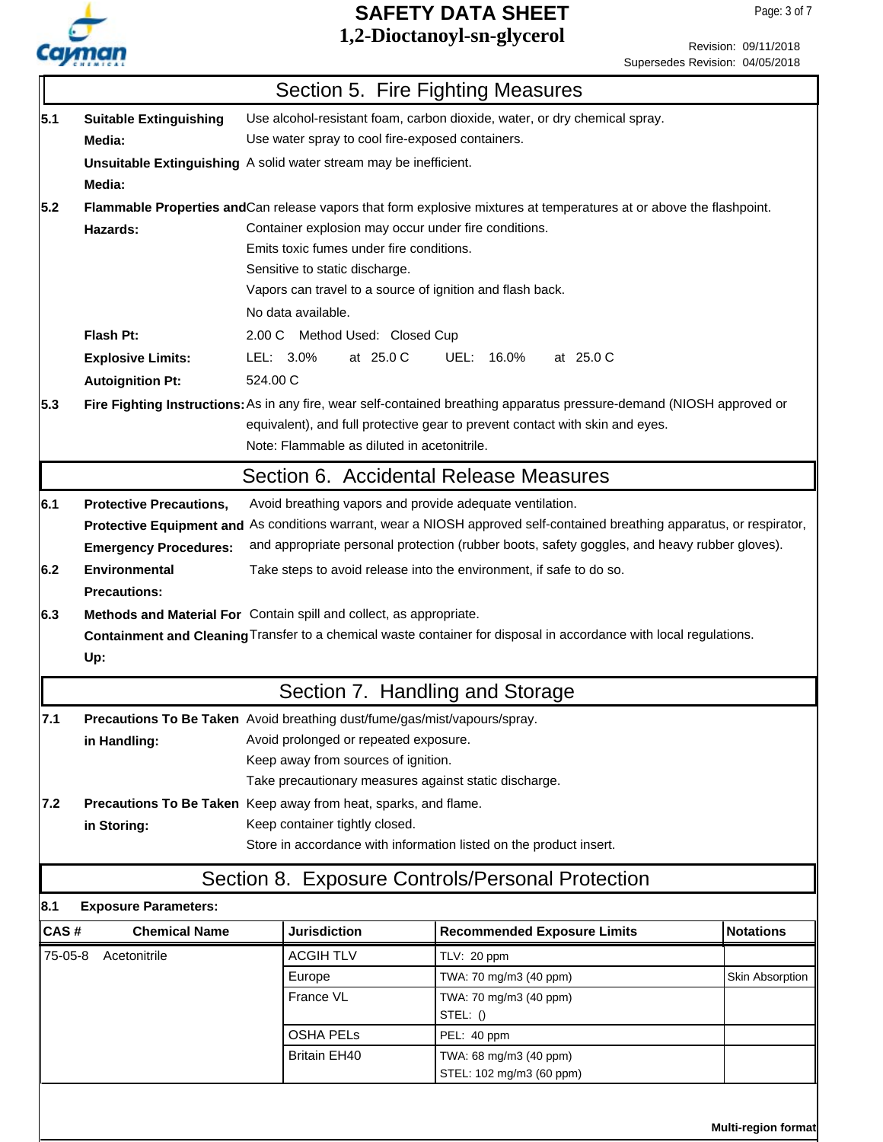

|                                 | Revision: 09/11/2018 |
|---------------------------------|----------------------|
| Supersedes Revision: 04/05/2018 |                      |

|         |                                                                     |                                                                              | Section 5. Fire Fighting Measures                                                                                        |                  |  |  |
|---------|---------------------------------------------------------------------|------------------------------------------------------------------------------|--------------------------------------------------------------------------------------------------------------------------|------------------|--|--|
| 5.1     | <b>Suitable Extinguishing</b>                                       |                                                                              | Use alcohol-resistant foam, carbon dioxide, water, or dry chemical spray.                                                |                  |  |  |
|         | Media:                                                              | Use water spray to cool fire-exposed containers.                             |                                                                                                                          |                  |  |  |
|         |                                                                     | Unsuitable Extinguishing A solid water stream may be inefficient.            |                                                                                                                          |                  |  |  |
|         | Media:                                                              |                                                                              |                                                                                                                          |                  |  |  |
| 5.2     |                                                                     |                                                                              | Flammable Properties and Can release vapors that form explosive mixtures at temperatures at or above the flashpoint.     |                  |  |  |
|         | Hazards:                                                            | Container explosion may occur under fire conditions.                         |                                                                                                                          |                  |  |  |
|         |                                                                     | Emits toxic fumes under fire conditions.                                     |                                                                                                                          |                  |  |  |
|         |                                                                     | Sensitive to static discharge.                                               |                                                                                                                          |                  |  |  |
|         |                                                                     |                                                                              | Vapors can travel to a source of ignition and flash back.                                                                |                  |  |  |
|         |                                                                     | No data available.                                                           |                                                                                                                          |                  |  |  |
|         | Flash Pt:                                                           | 2.00 C Method Used: Closed Cup                                               |                                                                                                                          |                  |  |  |
|         | <b>Explosive Limits:</b>                                            | LEL: 3.0%<br>at 25.0 C                                                       | UEL: 16.0%<br>at 25.0 C                                                                                                  |                  |  |  |
|         | <b>Autoignition Pt:</b>                                             | 524.00 C                                                                     |                                                                                                                          |                  |  |  |
| 5.3     |                                                                     |                                                                              | Fire Fighting Instructions: As in any fire, wear self-contained breathing apparatus pressure-demand (NIOSH approved or   |                  |  |  |
|         |                                                                     |                                                                              | equivalent), and full protective gear to prevent contact with skin and eyes.                                             |                  |  |  |
|         |                                                                     | Note: Flammable as diluted in acetonitrile.                                  |                                                                                                                          |                  |  |  |
|         |                                                                     |                                                                              | Section 6. Accidental Release Measures                                                                                   |                  |  |  |
| 6.1     | <b>Protective Precautions,</b>                                      |                                                                              | Avoid breathing vapors and provide adequate ventilation.                                                                 |                  |  |  |
|         |                                                                     |                                                                              | Protective Equipment and As conditions warrant, wear a NIOSH approved self-contained breathing apparatus, or respirator, |                  |  |  |
|         | <b>Emergency Procedures:</b>                                        |                                                                              | and appropriate personal protection (rubber boots, safety goggles, and heavy rubber gloves).                             |                  |  |  |
| 6.2     | <b>Environmental</b>                                                |                                                                              | Take steps to avoid release into the environment, if safe to do so.                                                      |                  |  |  |
|         | <b>Precautions:</b>                                                 |                                                                              |                                                                                                                          |                  |  |  |
| 6.3     | Methods and Material For Contain spill and collect, as appropriate. |                                                                              |                                                                                                                          |                  |  |  |
|         |                                                                     |                                                                              |                                                                                                                          |                  |  |  |
|         |                                                                     |                                                                              | Containment and Cleaning Transfer to a chemical waste container for disposal in accordance with local regulations.       |                  |  |  |
|         | Up:                                                                 |                                                                              |                                                                                                                          |                  |  |  |
|         |                                                                     |                                                                              |                                                                                                                          |                  |  |  |
|         |                                                                     |                                                                              | Section 7. Handling and Storage                                                                                          |                  |  |  |
| 7.1     |                                                                     | Precautions To Be Taken Avoid breathing dust/fume/gas/mist/vapours/spray.    |                                                                                                                          |                  |  |  |
|         | in Handling:                                                        | Avoid prolonged or repeated exposure.<br>Keep away from sources of ignition. |                                                                                                                          |                  |  |  |
|         |                                                                     |                                                                              | Take precautionary measures against static discharge.                                                                    |                  |  |  |
| 7.2     |                                                                     | Precautions To Be Taken Keep away from heat, sparks, and flame.              |                                                                                                                          |                  |  |  |
|         | in Storing:                                                         | Keep container tightly closed.                                               |                                                                                                                          |                  |  |  |
|         |                                                                     |                                                                              | Store in accordance with information listed on the product insert.                                                       |                  |  |  |
|         |                                                                     |                                                                              |                                                                                                                          |                  |  |  |
| 8.1     | <b>Exposure Parameters:</b>                                         |                                                                              | Section 8. Exposure Controls/Personal Protection                                                                         |                  |  |  |
| CAS#    | <b>Chemical Name</b>                                                | <b>Jurisdiction</b>                                                          | <b>Recommended Exposure Limits</b>                                                                                       | <b>Notations</b> |  |  |
| 75-05-8 | Acetonitrile                                                        | <b>ACGIH TLV</b>                                                             |                                                                                                                          |                  |  |  |
|         |                                                                     |                                                                              | TLV: 20 ppm                                                                                                              | Skin Absorption  |  |  |
|         |                                                                     | Europe<br>France VL                                                          | TWA: 70 mg/m3 (40 ppm)<br>TWA: 70 mg/m3 (40 ppm)                                                                         |                  |  |  |
|         |                                                                     |                                                                              | STEL: ()                                                                                                                 |                  |  |  |
|         |                                                                     | <b>OSHA PELS</b>                                                             | PEL: 40 ppm                                                                                                              |                  |  |  |
|         |                                                                     | <b>Britain EH40</b>                                                          | TWA: 68 mg/m3 (40 ppm)<br>STEL: 102 mg/m3 (60 ppm)                                                                       |                  |  |  |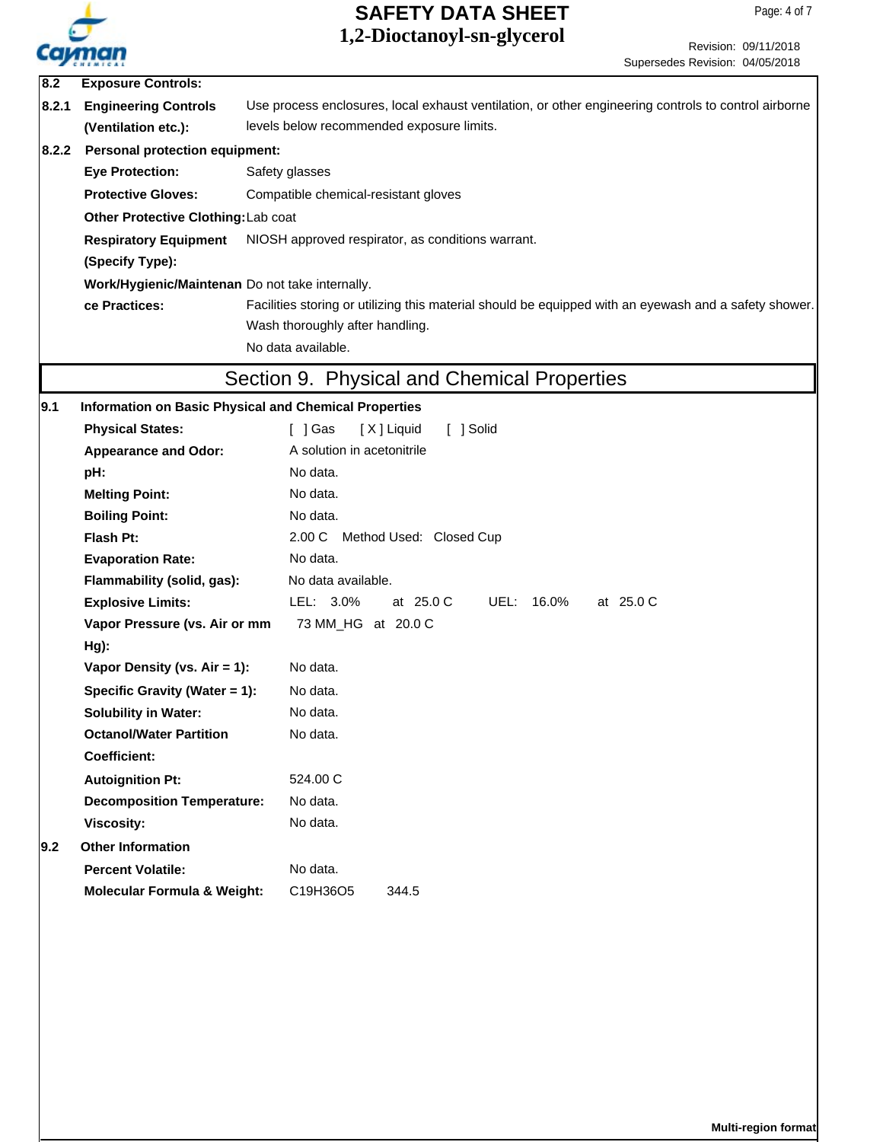

Revision: 09/11/2018 Supersedes Revision: 04/05/2018

| $\overline{8.2}$ | <b>Exposure Controls:</b>                                                         |                                                                                                       |  |  |  |
|------------------|-----------------------------------------------------------------------------------|-------------------------------------------------------------------------------------------------------|--|--|--|
| 8.2.1            | <b>Engineering Controls</b>                                                       | Use process enclosures, local exhaust ventilation, or other engineering controls to control airborne  |  |  |  |
|                  | (Ventilation etc.):                                                               | levels below recommended exposure limits.                                                             |  |  |  |
| 8.2.2            | <b>Personal protection equipment:</b>                                             |                                                                                                       |  |  |  |
|                  | <b>Eye Protection:</b>                                                            | Safety glasses                                                                                        |  |  |  |
|                  | <b>Protective Gloves:</b><br>Compatible chemical-resistant gloves                 |                                                                                                       |  |  |  |
|                  | Other Protective Clothing: Lab coat                                               |                                                                                                       |  |  |  |
|                  | <b>Respiratory Equipment</b><br>NIOSH approved respirator, as conditions warrant. |                                                                                                       |  |  |  |
|                  | (Specify Type):                                                                   |                                                                                                       |  |  |  |
|                  | Work/Hygienic/Maintenan Do not take internally.                                   |                                                                                                       |  |  |  |
|                  | ce Practices:                                                                     | Facilities storing or utilizing this material should be equipped with an eyewash and a safety shower. |  |  |  |
|                  |                                                                                   | Wash thoroughly after handling.                                                                       |  |  |  |
|                  |                                                                                   | No data available.                                                                                    |  |  |  |
|                  |                                                                                   | Section 9. Physical and Chemical Properties                                                           |  |  |  |
|                  |                                                                                   |                                                                                                       |  |  |  |
| 9.1              | <b>Information on Basic Physical and Chemical Properties</b>                      |                                                                                                       |  |  |  |
|                  | <b>Physical States:</b>                                                           | [ ] Solid<br>[ ] Gas<br>[X] Liquid<br>A solution in acetonitrile                                      |  |  |  |
|                  | <b>Appearance and Odor:</b>                                                       | No data.                                                                                              |  |  |  |
|                  | pH:                                                                               | No data.                                                                                              |  |  |  |
|                  | <b>Melting Point:</b>                                                             | No data.                                                                                              |  |  |  |
|                  | <b>Boiling Point:</b>                                                             |                                                                                                       |  |  |  |
|                  | Flash Pt:                                                                         | 2.00 C Method Used: Closed Cup                                                                        |  |  |  |
|                  | <b>Evaporation Rate:</b>                                                          | No data.                                                                                              |  |  |  |
|                  | Flammability (solid, gas):                                                        | No data available.<br>LEL: 3.0%<br>at 25.0 C<br>UEL: 16.0%<br>at 25.0 C                               |  |  |  |
|                  | <b>Explosive Limits:</b><br>Vapor Pressure (vs. Air or mm                         | 73 MM_HG at 20.0 C                                                                                    |  |  |  |
|                  | Hg):                                                                              |                                                                                                       |  |  |  |
|                  | Vapor Density (vs. Air = 1):                                                      | No data.                                                                                              |  |  |  |
|                  | Specific Gravity (Water = 1):                                                     | No data.                                                                                              |  |  |  |
|                  | <b>Solubility in Water:</b>                                                       | No data.                                                                                              |  |  |  |
|                  | <b>Octanol/Water Partition</b>                                                    | No data.                                                                                              |  |  |  |
|                  | <b>Coefficient:</b>                                                               |                                                                                                       |  |  |  |
|                  | <b>Autoignition Pt:</b>                                                           | 524.00 C                                                                                              |  |  |  |
|                  | <b>Decomposition Temperature:</b>                                                 | No data.                                                                                              |  |  |  |
|                  | <b>Viscosity:</b>                                                                 | No data.                                                                                              |  |  |  |
| 9.2              | <b>Other Information</b>                                                          |                                                                                                       |  |  |  |
|                  | <b>Percent Volatile:</b>                                                          |                                                                                                       |  |  |  |
|                  |                                                                                   | No data.                                                                                              |  |  |  |
|                  | <b>Molecular Formula &amp; Weight:</b>                                            | C19H36O5<br>344.5                                                                                     |  |  |  |
|                  |                                                                                   |                                                                                                       |  |  |  |
|                  |                                                                                   |                                                                                                       |  |  |  |
|                  |                                                                                   |                                                                                                       |  |  |  |
|                  |                                                                                   |                                                                                                       |  |  |  |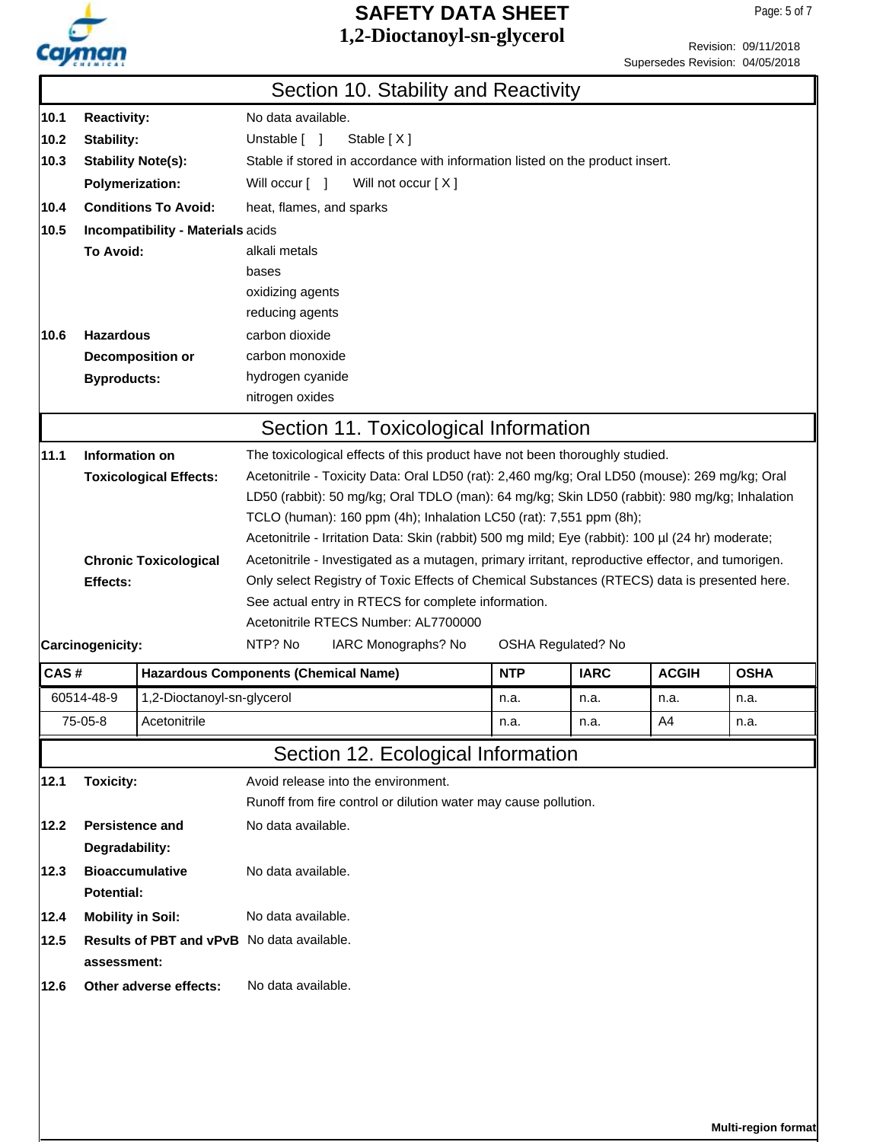

Revision: 09/11/2018 Supersedes Revision: 04/05/2018

|      |                                                                  |                                             | Section 10. Stability and Reactivity                                                                                                                                                              |            |                    |              |             |  |
|------|------------------------------------------------------------------|---------------------------------------------|---------------------------------------------------------------------------------------------------------------------------------------------------------------------------------------------------|------------|--------------------|--------------|-------------|--|
|      |                                                                  |                                             |                                                                                                                                                                                                   |            |                    |              |             |  |
| 10.1 | <b>Reactivity:</b>                                               |                                             | No data available.                                                                                                                                                                                |            |                    |              |             |  |
| 10.2 | Stability:                                                       |                                             | Unstable [ ]<br>Stable [X]                                                                                                                                                                        |            |                    |              |             |  |
| 10.3 | <b>Stability Note(s):</b>                                        |                                             | Stable if stored in accordance with information listed on the product insert.                                                                                                                     |            |                    |              |             |  |
|      | <b>Polymerization:</b>                                           | Will occur [ ]                              | Will not occur [X]                                                                                                                                                                                |            |                    |              |             |  |
| 10.4 | <b>Conditions To Avoid:</b><br>heat, flames, and sparks          |                                             |                                                                                                                                                                                                   |            |                    |              |             |  |
| 10.5 | Incompatibility - Materials acids                                |                                             |                                                                                                                                                                                                   |            |                    |              |             |  |
|      | <b>To Avoid:</b>                                                 |                                             | alkali metals                                                                                                                                                                                     |            |                    |              |             |  |
|      |                                                                  | bases                                       |                                                                                                                                                                                                   |            |                    |              |             |  |
|      |                                                                  | oxidizing agents                            |                                                                                                                                                                                                   |            |                    |              |             |  |
|      |                                                                  | reducing agents                             |                                                                                                                                                                                                   |            |                    |              |             |  |
| 10.6 | <b>Hazardous</b>                                                 | carbon dioxide                              |                                                                                                                                                                                                   |            |                    |              |             |  |
|      | Decomposition or                                                 | carbon monoxide                             |                                                                                                                                                                                                   |            |                    |              |             |  |
|      | <b>Byproducts:</b>                                               | hydrogen cyanide                            |                                                                                                                                                                                                   |            |                    |              |             |  |
|      |                                                                  | nitrogen oxides                             |                                                                                                                                                                                                   |            |                    |              |             |  |
|      |                                                                  |                                             | Section 11. Toxicological Information                                                                                                                                                             |            |                    |              |             |  |
| 11.1 | Information on                                                   |                                             | The toxicological effects of this product have not been thoroughly studied.                                                                                                                       |            |                    |              |             |  |
|      | <b>Toxicological Effects:</b>                                    |                                             | Acetonitrile - Toxicity Data: Oral LD50 (rat): 2,460 mg/kg; Oral LD50 (mouse): 269 mg/kg; Oral                                                                                                    |            |                    |              |             |  |
|      |                                                                  |                                             | LD50 (rabbit): 50 mg/kg; Oral TDLO (man): 64 mg/kg; Skin LD50 (rabbit): 980 mg/kg; Inhalation                                                                                                     |            |                    |              |             |  |
|      |                                                                  |                                             | TCLO (human): 160 ppm (4h); Inhalation LC50 (rat): 7,551 ppm (8h);                                                                                                                                |            |                    |              |             |  |
|      |                                                                  |                                             | Acetonitrile - Irritation Data: Skin (rabbit) 500 mg mild; Eye (rabbit): 100 µl (24 hr) moderate;                                                                                                 |            |                    |              |             |  |
|      | <b>Chronic Toxicological</b>                                     |                                             | Acetonitrile - Investigated as a mutagen, primary irritant, reproductive effector, and tumorigen.<br>Only select Registry of Toxic Effects of Chemical Substances (RTECS) data is presented here. |            |                    |              |             |  |
|      | Effects:                                                         |                                             |                                                                                                                                                                                                   |            |                    |              |             |  |
|      |                                                                  |                                             | See actual entry in RTECS for complete information.                                                                                                                                               |            |                    |              |             |  |
|      |                                                                  |                                             | Acetonitrile RTECS Number: AL7700000                                                                                                                                                              |            |                    |              |             |  |
|      | Carcinogenicity:                                                 | NTP? No                                     | IARC Monographs? No                                                                                                                                                                               |            | OSHA Regulated? No |              |             |  |
| CAS# |                                                                  | <b>Hazardous Components (Chemical Name)</b> |                                                                                                                                                                                                   | <b>NTP</b> | <b>IARC</b>        | <b>ACGIH</b> | <b>OSHA</b> |  |
|      | 60514-48-9                                                       | 1,2-Dioctanoyl-sn-glycerol                  |                                                                                                                                                                                                   | n.a.       | n.a.               | n.a.         | n.a.        |  |
|      | 75-05-8<br>Acetonitrile                                          |                                             |                                                                                                                                                                                                   | n.a.       | n.a.               | AA           | n.a.        |  |
|      |                                                                  |                                             | Section 12. Ecological Information                                                                                                                                                                |            |                    |              |             |  |
|      |                                                                  |                                             | Avoid release into the environment.                                                                                                                                                               |            |                    |              |             |  |
| 12.1 | <b>Toxicity:</b>                                                 |                                             | Runoff from fire control or dilution water may cause pollution.                                                                                                                                   |            |                    |              |             |  |
|      |                                                                  |                                             |                                                                                                                                                                                                   |            |                    |              |             |  |
| 12.2 | <b>Persistence and</b>                                           | No data available.                          |                                                                                                                                                                                                   |            |                    |              |             |  |
|      | Degradability:                                                   |                                             |                                                                                                                                                                                                   |            |                    |              |             |  |
| 12.3 | <b>Bioaccumulative</b>                                           |                                             | No data available.                                                                                                                                                                                |            |                    |              |             |  |
|      | Potential:                                                       |                                             |                                                                                                                                                                                                   |            |                    |              |             |  |
| 12.4 | <b>Mobility in Soil:</b>                                         |                                             | No data available.                                                                                                                                                                                |            |                    |              |             |  |
| 12.5 | <b>Results of PBT and vPvB</b> No data available.<br>assessment: |                                             |                                                                                                                                                                                                   |            |                    |              |             |  |
| 12.6 | Other adverse effects:                                           | No data available.                          |                                                                                                                                                                                                   |            |                    |              |             |  |
|      |                                                                  |                                             |                                                                                                                                                                                                   |            |                    |              |             |  |
|      |                                                                  |                                             |                                                                                                                                                                                                   |            |                    |              |             |  |
|      |                                                                  |                                             |                                                                                                                                                                                                   |            |                    |              |             |  |
|      |                                                                  |                                             |                                                                                                                                                                                                   |            |                    |              |             |  |
|      |                                                                  |                                             |                                                                                                                                                                                                   |            |                    |              |             |  |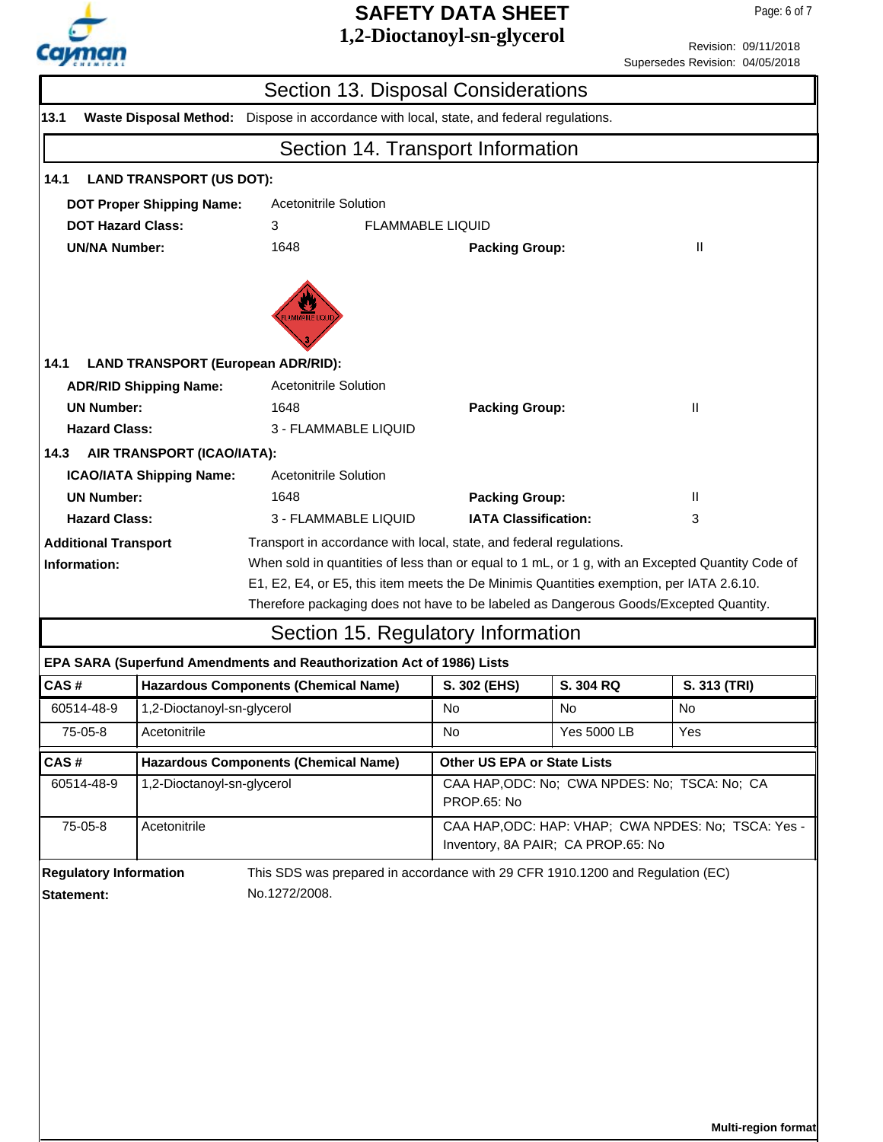

Revision: 09/11/2018 Supersedes Revision: 04/05/2018

| Section 13. Disposal Considerations                                                                        |                                                            |                                                                                                                                                                                   |                                                                                           |             |                                               |  |  |  |
|------------------------------------------------------------------------------------------------------------|------------------------------------------------------------|-----------------------------------------------------------------------------------------------------------------------------------------------------------------------------------|-------------------------------------------------------------------------------------------|-------------|-----------------------------------------------|--|--|--|
| 13.1<br><b>Waste Disposal Method:</b><br>Dispose in accordance with local, state, and federal regulations. |                                                            |                                                                                                                                                                                   |                                                                                           |             |                                               |  |  |  |
|                                                                                                            | Section 14. Transport Information                          |                                                                                                                                                                                   |                                                                                           |             |                                               |  |  |  |
| 14.1                                                                                                       | <b>LAND TRANSPORT (US DOT):</b>                            |                                                                                                                                                                                   |                                                                                           |             |                                               |  |  |  |
| <b>DOT Proper Shipping Name:</b><br>Acetonitrile Solution                                                  |                                                            |                                                                                                                                                                                   |                                                                                           |             |                                               |  |  |  |
| <b>DOT Hazard Class:</b><br>3<br>FLAMMABLE LIQUID                                                          |                                                            |                                                                                                                                                                                   |                                                                                           |             |                                               |  |  |  |
|                                                                                                            | <b>UN/NA Number:</b><br>1648<br>Ш<br><b>Packing Group:</b> |                                                                                                                                                                                   |                                                                                           |             |                                               |  |  |  |
| 14.1                                                                                                       | <b>LAND TRANSPORT (European ADR/RID):</b>                  | <b>AMMABLE LIQU</b>                                                                                                                                                               |                                                                                           |             |                                               |  |  |  |
|                                                                                                            | <b>ADR/RID Shipping Name:</b>                              | <b>Acetonitrile Solution</b>                                                                                                                                                      |                                                                                           |             |                                               |  |  |  |
| <b>UN Number:</b>                                                                                          |                                                            | 1648                                                                                                                                                                              | <b>Packing Group:</b>                                                                     |             | Ш                                             |  |  |  |
| <b>Hazard Class:</b>                                                                                       |                                                            | 3 - FLAMMABLE LIQUID                                                                                                                                                              |                                                                                           |             |                                               |  |  |  |
| 14.3                                                                                                       | AIR TRANSPORT (ICAO/IATA):                                 |                                                                                                                                                                                   |                                                                                           |             |                                               |  |  |  |
|                                                                                                            | <b>ICAO/IATA Shipping Name:</b>                            | Acetonitrile Solution                                                                                                                                                             |                                                                                           |             |                                               |  |  |  |
| <b>UN Number:</b>                                                                                          |                                                            | 1648                                                                                                                                                                              | <b>Packing Group:</b>                                                                     |             | $\mathbf{H}$                                  |  |  |  |
| <b>Hazard Class:</b>                                                                                       |                                                            | 3 - FLAMMABLE LIQUID                                                                                                                                                              | <b>IATA Classification:</b>                                                               |             | 3                                             |  |  |  |
| <b>Additional Transport</b>                                                                                |                                                            | Transport in accordance with local, state, and federal regulations.                                                                                                               |                                                                                           |             |                                               |  |  |  |
| Information:                                                                                               |                                                            | When sold in quantities of less than or equal to 1 mL, or 1 g, with an Excepted Quantity Code of                                                                                  |                                                                                           |             |                                               |  |  |  |
|                                                                                                            |                                                            | E1, E2, E4, or E5, this item meets the De Minimis Quantities exemption, per IATA 2.6.10.<br>Therefore packaging does not have to be labeled as Dangerous Goods/Excepted Quantity. |                                                                                           |             |                                               |  |  |  |
|                                                                                                            |                                                            | Section 15. Regulatory Information                                                                                                                                                |                                                                                           |             |                                               |  |  |  |
|                                                                                                            |                                                            | EPA SARA (Superfund Amendments and Reauthorization Act of 1986) Lists                                                                                                             |                                                                                           |             |                                               |  |  |  |
| CAS#                                                                                                       |                                                            | <b>Hazardous Components (Chemical Name)</b>                                                                                                                                       | S. 302 (EHS)                                                                              | S. 304 RQ   | S. 313 (TRI)                                  |  |  |  |
| 60514-48-9                                                                                                 | 1,2-Dioctanoyl-sn-glycerol                                 |                                                                                                                                                                                   | No                                                                                        | No          | No                                            |  |  |  |
| 75-05-8                                                                                                    | Acetonitrile                                               |                                                                                                                                                                                   | No                                                                                        | Yes 5000 LB | Yes                                           |  |  |  |
| CAS#                                                                                                       |                                                            | <b>Hazardous Components (Chemical Name)</b>                                                                                                                                       | Other US EPA or State Lists                                                               |             |                                               |  |  |  |
| 60514-48-9                                                                                                 | 1,2-Dioctanoyl-sn-glycerol                                 |                                                                                                                                                                                   | PROP.65: No                                                                               |             | CAA HAP, ODC: No; CWA NPDES: No; TSCA: No; CA |  |  |  |
| 75-05-8                                                                                                    | Acetonitrile                                               |                                                                                                                                                                                   | CAA HAP, ODC: HAP: VHAP; CWA NPDES: No; TSCA: Yes -<br>Inventory, 8A PAIR; CA PROP.65: No |             |                                               |  |  |  |
| <b>Regulatory Information</b>                                                                              |                                                            | This SDS was prepared in accordance with 29 CFR 1910.1200 and Regulation (EC)                                                                                                     |                                                                                           |             |                                               |  |  |  |
| <b>Statement:</b>                                                                                          |                                                            | No.1272/2008.                                                                                                                                                                     |                                                                                           |             |                                               |  |  |  |
|                                                                                                            |                                                            |                                                                                                                                                                                   |                                                                                           |             |                                               |  |  |  |
|                                                                                                            |                                                            |                                                                                                                                                                                   |                                                                                           |             |                                               |  |  |  |
|                                                                                                            |                                                            |                                                                                                                                                                                   |                                                                                           |             |                                               |  |  |  |
|                                                                                                            |                                                            |                                                                                                                                                                                   |                                                                                           |             |                                               |  |  |  |
|                                                                                                            |                                                            |                                                                                                                                                                                   |                                                                                           |             |                                               |  |  |  |
|                                                                                                            |                                                            |                                                                                                                                                                                   |                                                                                           |             |                                               |  |  |  |
|                                                                                                            |                                                            |                                                                                                                                                                                   |                                                                                           |             |                                               |  |  |  |
|                                                                                                            |                                                            |                                                                                                                                                                                   |                                                                                           |             |                                               |  |  |  |
|                                                                                                            | Multi-region format                                        |                                                                                                                                                                                   |                                                                                           |             |                                               |  |  |  |